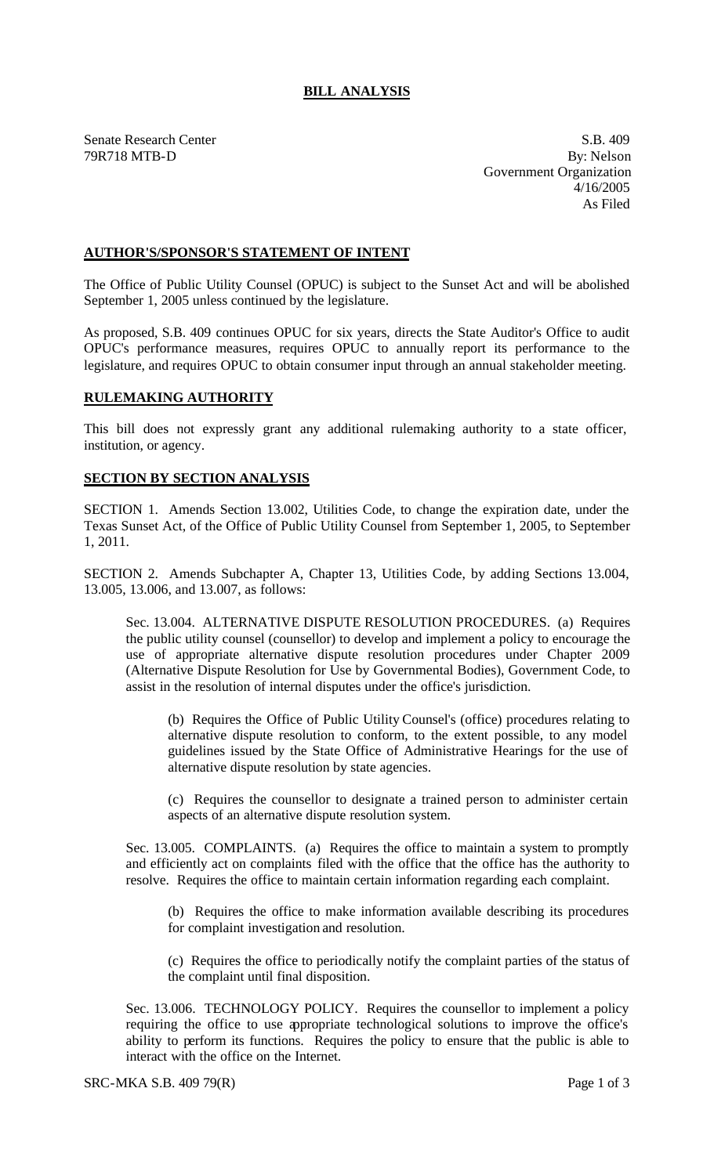## **BILL ANALYSIS**

Senate Research Center S.B. 409 79R718 MTB-D By: Nelson Government Organization 4/16/2005 As Filed

## **AUTHOR'S/SPONSOR'S STATEMENT OF INTENT**

The Office of Public Utility Counsel (OPUC) is subject to the Sunset Act and will be abolished September 1, 2005 unless continued by the legislature.

As proposed, S.B. 409 continues OPUC for six years, directs the State Auditor's Office to audit OPUC's performance measures, requires OPUC to annually report its performance to the legislature, and requires OPUC to obtain consumer input through an annual stakeholder meeting.

## **RULEMAKING AUTHORITY**

This bill does not expressly grant any additional rulemaking authority to a state officer, institution, or agency.

## **SECTION BY SECTION ANALYSIS**

SECTION 1. Amends Section 13.002, Utilities Code, to change the expiration date, under the Texas Sunset Act, of the Office of Public Utility Counsel from September 1, 2005, to September 1, 2011.

SECTION 2. Amends Subchapter A, Chapter 13, Utilities Code, by adding Sections 13.004, 13.005, 13.006, and 13.007, as follows:

Sec. 13.004. ALTERNATIVE DISPUTE RESOLUTION PROCEDURES. (a) Requires the public utility counsel (counsellor) to develop and implement a policy to encourage the use of appropriate alternative dispute resolution procedures under Chapter 2009 (Alternative Dispute Resolution for Use by Governmental Bodies), Government Code, to assist in the resolution of internal disputes under the office's jurisdiction.

(b) Requires the Office of Public Utility Counsel's (office) procedures relating to alternative dispute resolution to conform, to the extent possible, to any model guidelines issued by the State Office of Administrative Hearings for the use of alternative dispute resolution by state agencies.

(c) Requires the counsellor to designate a trained person to administer certain aspects of an alternative dispute resolution system.

Sec. 13.005. COMPLAINTS. (a) Requires the office to maintain a system to promptly and efficiently act on complaints filed with the office that the office has the authority to resolve. Requires the office to maintain certain information regarding each complaint.

(b) Requires the office to make information available describing its procedures for complaint investigation and resolution.

(c) Requires the office to periodically notify the complaint parties of the status of the complaint until final disposition.

Sec. 13.006. TECHNOLOGY POLICY. Requires the counsellor to implement a policy requiring the office to use appropriate technological solutions to improve the office's ability to perform its functions. Requires the policy to ensure that the public is able to interact with the office on the Internet.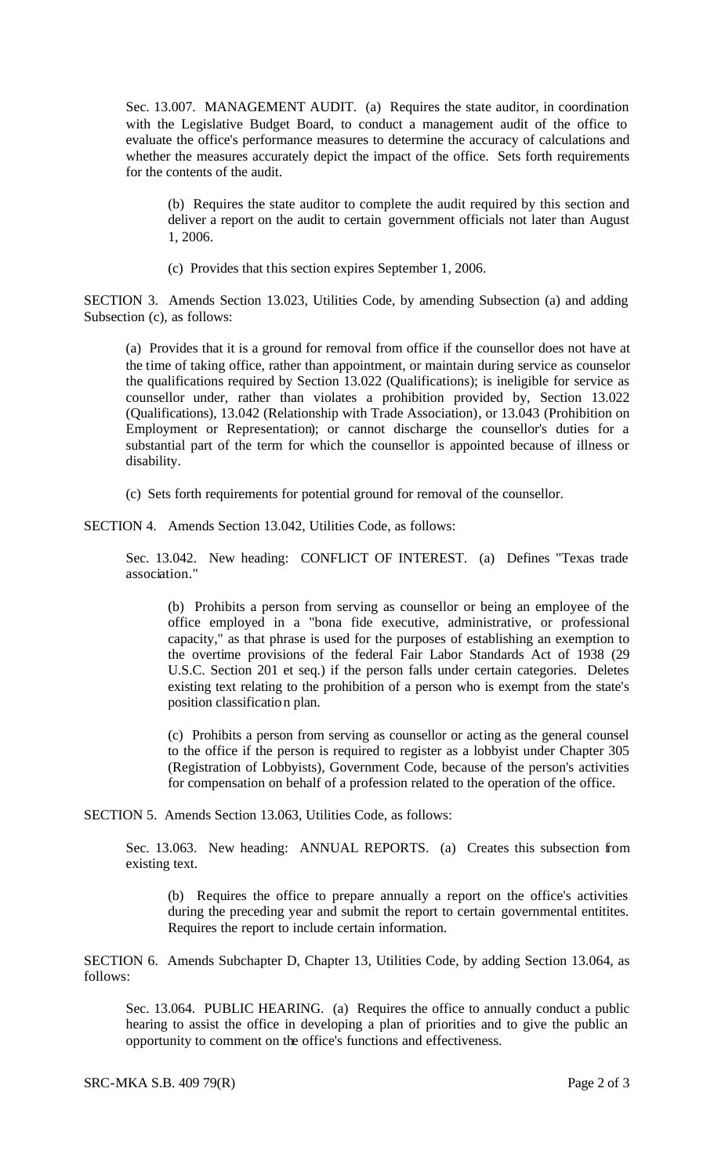Sec. 13.007. MANAGEMENT AUDIT. (a) Requires the state auditor, in coordination with the Legislative Budget Board, to conduct a management audit of the office to evaluate the office's performance measures to determine the accuracy of calculations and whether the measures accurately depict the impact of the office. Sets forth requirements for the contents of the audit.

(b) Requires the state auditor to complete the audit required by this section and deliver a report on the audit to certain government officials not later than August 1, 2006.

(c) Provides that this section expires September 1, 2006.

SECTION 3. Amends Section 13.023, Utilities Code, by amending Subsection (a) and adding Subsection (c), as follows:

(a) Provides that it is a ground for removal from office if the counsellor does not have at the time of taking office, rather than appointment, or maintain during service as counselor the qualifications required by Section 13.022 (Qualifications); is ineligible for service as counsellor under, rather than violates a prohibition provided by, Section 13.022 (Qualifications), 13.042 (Relationship with Trade Association), or 13.043 (Prohibition on Employment or Representation); or cannot discharge the counsellor's duties for a substantial part of the term for which the counsellor is appointed because of illness or disability.

(c) Sets forth requirements for potential ground for removal of the counsellor.

SECTION 4. Amends Section 13.042, Utilities Code, as follows:

Sec. 13.042. New heading: CONFLICT OF INTEREST. (a) Defines "Texas trade association."

(b) Prohibits a person from serving as counsellor or being an employee of the office employed in a "bona fide executive, administrative, or professional capacity," as that phrase is used for the purposes of establishing an exemption to the overtime provisions of the federal Fair Labor Standards Act of 1938 (29 U.S.C. Section 201 et seq.) if the person falls under certain categories. Deletes existing text relating to the prohibition of a person who is exempt from the state's position classification plan.

(c) Prohibits a person from serving as counsellor or acting as the general counsel to the office if the person is required to register as a lobbyist under Chapter 305 (Registration of Lobbyists), Government Code, because of the person's activities for compensation on behalf of a profession related to the operation of the office.

SECTION 5. Amends Section 13.063, Utilities Code, as follows:

Sec. 13.063. New heading: ANNUAL REPORTS. (a) Creates this subsection from existing text.

(b) Requires the office to prepare annually a report on the office's activities during the preceding year and submit the report to certain governmental entitites. Requires the report to include certain information.

SECTION 6. Amends Subchapter D, Chapter 13, Utilities Code, by adding Section 13.064, as follows:

Sec. 13.064. PUBLIC HEARING. (a) Requires the office to annually conduct a public hearing to assist the office in developing a plan of priorities and to give the public an opportunity to comment on the office's functions and effectiveness.